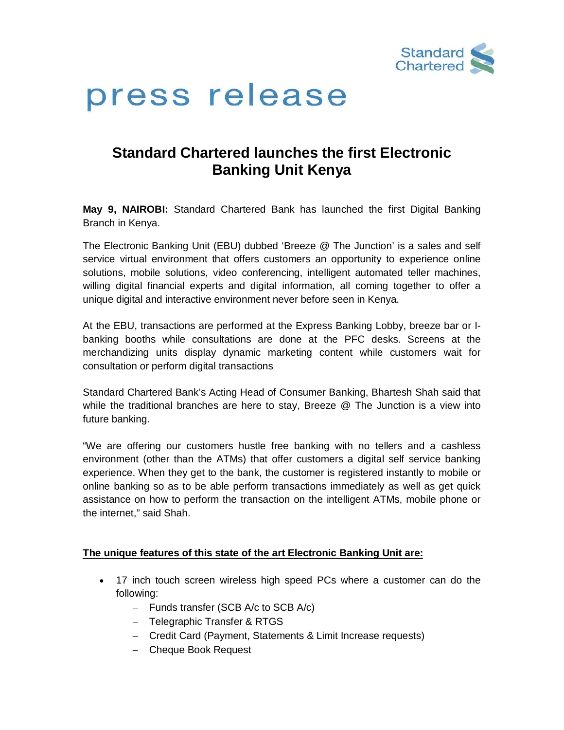

# press release

## **Standard Chartered launches the first Electronic Banking Unit Kenya**

**May 9, NAIROBI:** Standard Chartered Bank has launched the first Digital Banking Branch in Kenya.

The Electronic Banking Unit (EBU) dubbed 'Breeze @ The Junction' is a sales and self service virtual environment that offers customers an opportunity to experience online solutions, mobile solutions, video conferencing, intelligent automated teller machines, willing digital financial experts and digital information, all coming together to offer a unique digital and interactive environment never before seen in Kenya.

At the EBU, transactions are performed at the Express Banking Lobby, breeze bar or Ibanking booths while consultations are done at the PFC desks. Screens at the merchandizing units display dynamic marketing content while customers wait for consultation or perform digital transactions

Standard Chartered Bank's Acting Head of Consumer Banking, Bhartesh Shah said that while the traditional branches are here to stay, Breeze @ The Junction is a view into future banking.

"We are offering our customers hustle free banking with no tellers and a cashless environment (other than the ATMs) that offer customers a digital self service banking experience. When they get to the bank, the customer is registered instantly to mobile or online banking so as to be able perform transactions immediately as well as get quick assistance on how to perform the transaction on the intelligent ATMs, mobile phone or the internet," said Shah.

### **The unique features of this state of the art Electronic Banking Unit are:**

- 17 inch touch screen wireless high speed PCs where a customer can do the following:
	- − Funds transfer (SCB A/c to SCB A/c)
	- − Telegraphic Transfer & RTGS
	- − Credit Card (Payment, Statements & Limit Increase requests)
	- − Cheque Book Request